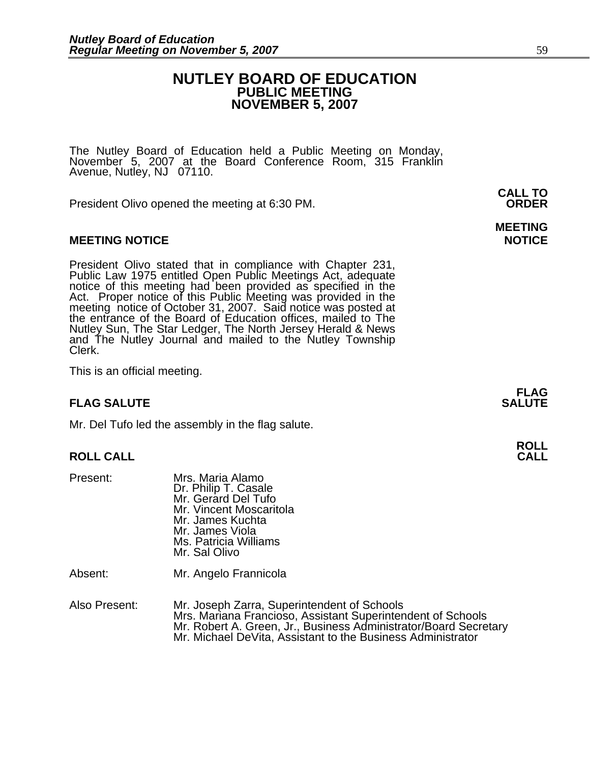## **NUTLEY BOARD OF EDUCATION PUBLIC MEETING NOVEMBER 5, 2007**

The Nutley Board of Education held a Public Meeting on Monday,<br>November 5, 2007 at the Board Conference Room, 315 Franklin Avenue, Nutley, NJ 07110.

President Olivo opened the meeting at 6:30 PM. **ORDER**

## **MEETING NOTICE NOTICE REPORTS AND RESIDENT ASSAULT ASSAULT AND REPORT OF A SECOND PROPERTY OF A SECOND PROPERTY**

President Olivo stated that in compliance with Chapter 231,<br>Public Law 1975 entitled Open Public Meetings Act, adequate<br>notice of this meeting had been provided as specified in the<br>Act. Proper notice of this Public Meeting Nutley Sun, The Star Ledger, The North Jersey Herald & News and The Nutley Journal and mailed to the Nutley Township Clerk.

This is an official meeting.

## **FLAG SALUTE** SALUTE SALUTE SALUTE SALUTE SALUTE SALUTE SALUTE SALUTE SALUTE SALUTE SALUTE SALUTE SALUTE SALUTE SALUTE

Mr. Del Tufo led the assembly in the flag salute.

## **ROLL CALL**

| Present:      | Mrs. Maria Alamo<br>Dr. Philip T. Casale<br>Mr. Gerard Del Tufo<br>Mr. Vincent Moscaritola<br>Mr. James Kuchta<br>Mr. James Viola<br>Ms. Patricia Williams<br>Mr. Sal Olivo                                                                   |
|---------------|-----------------------------------------------------------------------------------------------------------------------------------------------------------------------------------------------------------------------------------------------|
| Absent:       | Mr. Angelo Frannicola                                                                                                                                                                                                                         |
| Also Present: | Mr. Joseph Zarra, Superintendent of Schools<br>Mrs. Mariana Francioso, Assistant Superintendent of Schools<br>Mr. Robert A. Green, Jr., Business Administrator/Board Secretary<br>Mr. Michael DeVita, Assistant to the Business Administrator |

**CALL TO** 

# **MEETING**

**FLAG** 

**ROLL**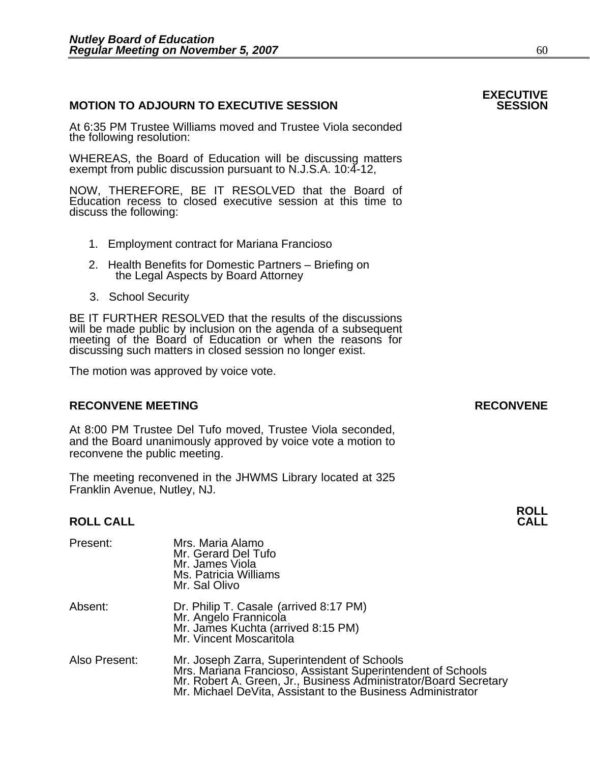## **MOTION TO ADJOURN TO EXECUTIVE SESSION**

At 6:35 PM Trustee Williams moved and Trustee Viola seconded the following resolution:

WHEREAS, the Board of Education will be discussing matters exempt from public discussion pursuant to N.J.S.A. 10:4-12,

NOW, THEREFORE, BE IT RESOLVED that the Board of Education recess to closed executive session at this time to discuss the following:

- 1. Employment contract for Mariana Francioso
- 2. Health Benefits for Domestic Partners Briefing on the Legal Aspects by Board Attorney
- 3. School Security

BE IT FURTHER RESOLVED that the results of the discussions will be made public by inclusion on the agenda of a subsequent meeting of the Board of Education or when the reasons for discussing such matters in closed session no longer exist.

The motion was approved by voice vote.

## **RECONVENE MEETING RECONVENE**

At 8:00 PM Trustee Del Tufo moved, Trustee Viola seconded, and the Board unanimously approved by voice vote a motion to reconvene the public meeting.

The meeting reconvened in the JHWMS Library located at 325 Franklin Avenue, Nutley, NJ.

### **ROLL CALL CALL**

| Present:      | Mrs. Maria Alamo<br>Mr. Gerard Del Tufo<br>Mr. James Viola<br>Ms. Patricia Williams<br>Mr. Sal Olivo                                                                                                                                          |
|---------------|-----------------------------------------------------------------------------------------------------------------------------------------------------------------------------------------------------------------------------------------------|
| Absent:       | Dr. Philip T. Casale (arrived 8:17 PM)<br>Mr. Angelo Frannicola<br>Mr. James Kuchta (arrived 8:15 PM)<br>Mr. Vincent Moscaritola                                                                                                              |
| Also Present: | Mr. Joseph Zarra, Superintendent of Schools<br>Mrs. Mariana Francioso, Assistant Superintendent of Schools<br>Mr. Robert A. Green, Jr., Business Administrator/Board Secretary<br>Mr. Michael DeVita, Assistant to the Business Administrator |

**EXECUTIVE** 

**ROLL**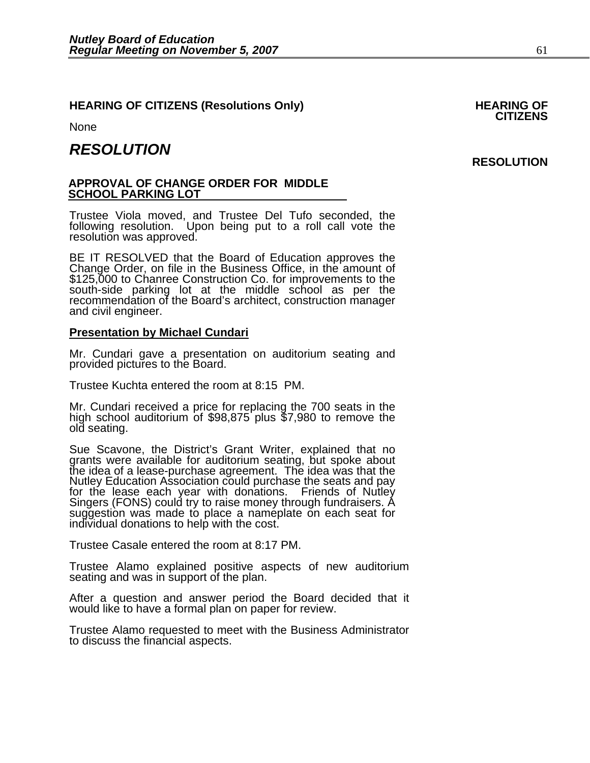## **HEARING OF CITIZENS (Resolutions Only) HEARING OF CITIZENS**

None

٦

## *RESOLUTION*

## **APPROVAL OF CHANGE ORDER FOR MIDDLE SCHOOL PARKING LOT**

Trustee Viola moved, and Trustee Del Tufo seconded, the following resolution. Upon being put to a roll call vote the resolution was approved.

BE IT RESOLVED that the Board of Education approves the Change Order, on file in the Business Office, in the amount of \$125,000 to Chanree Construction Co. for improvements to the south-side parking lot at the middle schoo

## **Presentation by Michael Cundari**

Mr. Cundari gave a presentation on auditorium seating and provided pictures to the Board.

Trustee Kuchta entered the room at 8:15 PM.

Mr. Cundari received a price for replacing the 700 seats in the high school auditorium of \$98,875 plus \$7,980 to remove the old seating.

Sue Scavone, the District's Grant Writer, explained that no grants were available for auditorium seating, but spoke about the idea of a lease-purchase agreement. The idea was that the Nutley Education Association could purchase the seats and pay for the lease each year with donations. Friends of Nutley Singers (FONS) could try to raise money through fundraisers. A suggestion was made to place a nameplate on each seat for individual donations to help with the cost.

Trustee Casale entered the room at 8:17 PM.

Trustee Alamo explained positive aspects of new auditorium seating and was in support of the plan.

After a question and answer period the Board decided that it would like to have a formal plan on paper for review.

Trustee Alamo requested to meet with the Business Administrator to discuss the financial aspects.

## **RESOLUTION**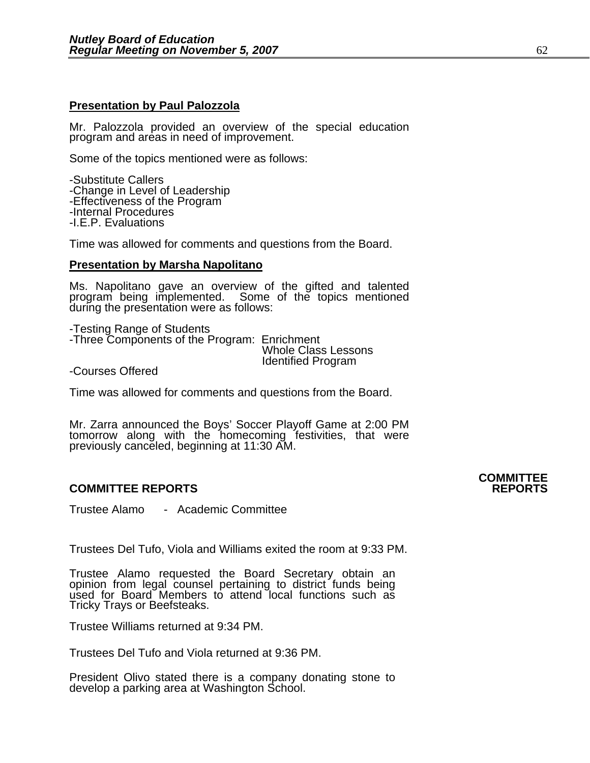## **Presentation by Paul Palozzola**

Mr. Palozzola provided an overview of the special education program and areas in need of improvement.

Some of the topics mentioned were as follows:

-Substitute Callers -Change in Level of Leadership -Effectiveness of the Program -Internal Procedures -I.E.P. Evaluations

Time was allowed for comments and questions from the Board.

### **Presentation by Marsha Napolitano**

Ms. Napolitano gave an overview of the gifted and talented program being implemented. Some of the topics mentioned<br>during the presentation were as follows:

-Testing Range of Students -Three Components of the Program: Enrichment Whole Class Lessons Identified Program -Courses Offered

Time was allowed for comments and questions from the Board.

Mr. Zarra announced the Boys' Soccer Playoff Game at 2:00 PM tomorrow along with the homecoming festivities, that were previously canceled, beginning at 11:30 AM.

## **COMMITTEE REPORTS REPORTS**

Trustee Alamo - Academic Committee

Trustees Del Tufo, Viola and Williams exited the room at 9:33 PM.

Trustee Alamo requested the Board Secretary obtain an opinion from legal counsel pertaining to district funds being used for Board Members to attend local functions such as Tricky Trays or Beefsteaks.

Trustee Williams returned at 9:34 PM.

Trustees Del Tufo and Viola returned at 9:36 PM.

President Olivo stated there is a company donating stone to develop a parking area at Washington School.